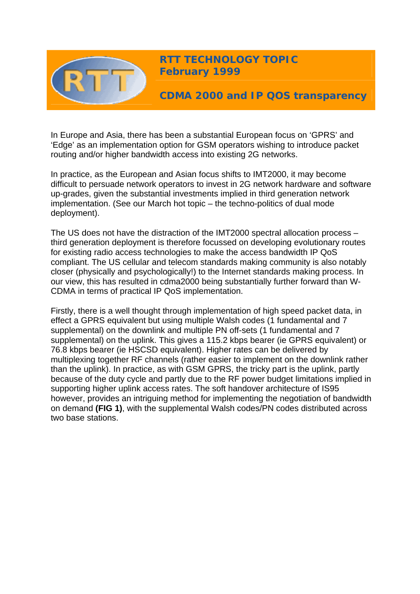

**RTT TECHNOLOGY TOPIC February 1999** 

**CDMA 2000 and IP QOS transparency** 

In Europe and Asia, there has been a substantial European focus on 'GPRS' and 'Edge' as an implementation option for GSM operators wishing to introduce packet routing and/or higher bandwidth access into existing 2G networks.

In practice, as the European and Asian focus shifts to IMT2000, it may become difficult to persuade network operators to invest in 2G network hardware and software up-grades, given the substantial investments implied in third generation network implementation. (See our March hot topic – the techno-politics of dual mode deployment).

The US does not have the distraction of the IMT2000 spectral allocation process – third generation deployment is therefore focussed on developing evolutionary routes for existing radio access technologies to make the access bandwidth IP QoS compliant. The US cellular and telecom standards making community is also notably closer (physically and psychologically!) to the Internet standards making process. In our view, this has resulted in cdma2000 being substantially further forward than W-CDMA in terms of practical IP QoS implementation.

Firstly, there is a well thought through implementation of high speed packet data, in effect a GPRS equivalent but using multiple Walsh codes (1 fundamental and 7 supplemental) on the downlink and multiple PN off-sets (1 fundamental and 7 supplemental) on the uplink. This gives a 115.2 kbps bearer (ie GPRS equivalent) or 76.8 kbps bearer (ie HSCSD equivalent). Higher rates can be delivered by multiplexing together RF channels (rather easier to implement on the downlink rather than the uplink). In practice, as with GSM GPRS, the tricky part is the uplink, partly because of the duty cycle and partly due to the RF power budget limitations implied in supporting higher uplink access rates. The soft handover architecture of IS95 however, provides an intriguing method for implementing the negotiation of bandwidth on demand **(FIG 1)**, with the supplemental Walsh codes/PN codes distributed across two base stations.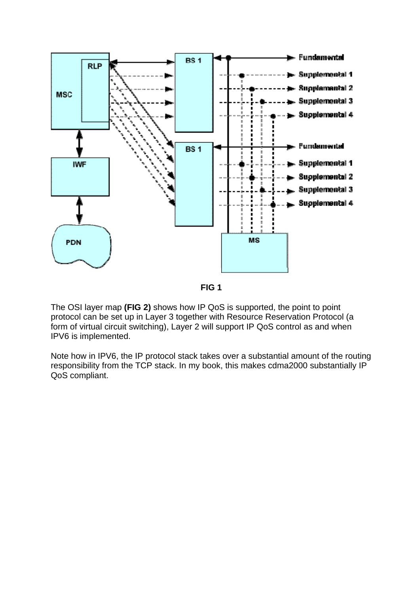

**FIG 1**

The OSI layer map **(FIG 2)** shows how IP QoS is supported, the point to point protocol can be set up in Layer 3 together with Resource Reservation Protocol (a form of virtual circuit switching), Layer 2 will support IP QoS control as and when IPV6 is implemented.

Note how in IPV6, the IP protocol stack takes over a substantial amount of the routing responsibility from the TCP stack. In my book, this makes cdma2000 substantially IP QoS compliant.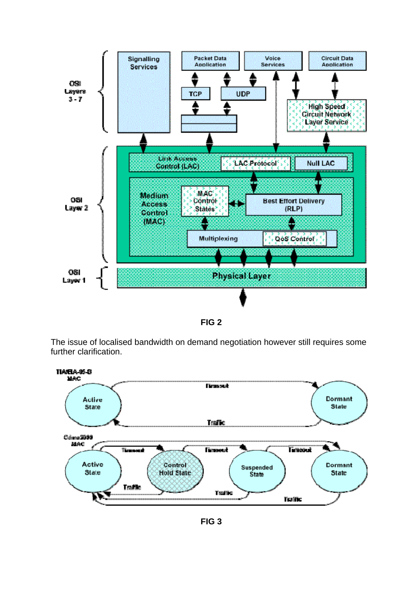

**FIG 2**

The issue of localised bandwidth on demand negotiation however still requires some further clarification.